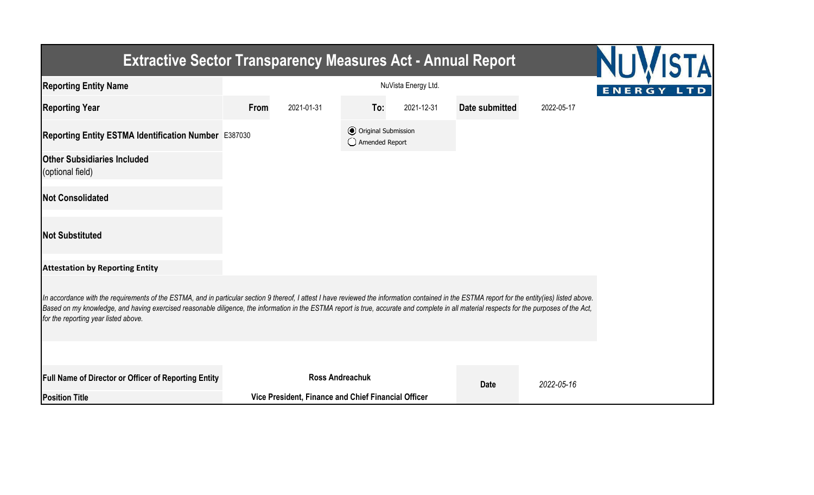| <b>Extractive Sector Transparency Measures Act - Annual Report</b>                                                                                                                                                                                                                                                                                                                                                                    |                     |                                                     |                                                  |            |                |            |  |  |
|---------------------------------------------------------------------------------------------------------------------------------------------------------------------------------------------------------------------------------------------------------------------------------------------------------------------------------------------------------------------------------------------------------------------------------------|---------------------|-----------------------------------------------------|--------------------------------------------------|------------|----------------|------------|--|--|
| <b>Reporting Entity Name</b>                                                                                                                                                                                                                                                                                                                                                                                                          | NuVista Energy Ltd. |                                                     |                                                  |            |                |            |  |  |
| <b>Reporting Year</b>                                                                                                                                                                                                                                                                                                                                                                                                                 | From                | 2021-01-31                                          | To:                                              | 2021-12-31 | Date submitted | 2022-05-17 |  |  |
| Reporting Entity ESTMA Identification Number E387030                                                                                                                                                                                                                                                                                                                                                                                  |                     |                                                     | <b>⊙</b> Original Submission<br>◯ Amended Report |            |                |            |  |  |
| <b>Other Subsidiaries Included</b><br>(optional field)                                                                                                                                                                                                                                                                                                                                                                                |                     |                                                     |                                                  |            |                |            |  |  |
| <b>Not Consolidated</b>                                                                                                                                                                                                                                                                                                                                                                                                               |                     |                                                     |                                                  |            |                |            |  |  |
| <b>Not Substituted</b>                                                                                                                                                                                                                                                                                                                                                                                                                |                     |                                                     |                                                  |            |                |            |  |  |
| <b>Attestation by Reporting Entity</b>                                                                                                                                                                                                                                                                                                                                                                                                |                     |                                                     |                                                  |            |                |            |  |  |
| In accordance with the requirements of the ESTMA, and in particular section 9 thereof, I attest I have reviewed the information contained in the ESTMA report for the entity(ies) listed above.<br>Based on my knowledge, and having exercised reasonable diligence, the information in the ESTMA report is true, accurate and complete in all material respects for the purposes of the Act,<br>for the reporting year listed above. |                     |                                                     |                                                  |            |                |            |  |  |
|                                                                                                                                                                                                                                                                                                                                                                                                                                       |                     |                                                     |                                                  |            |                |            |  |  |
| Full Name of Director or Officer of Reporting Entity                                                                                                                                                                                                                                                                                                                                                                                  |                     | <b>Ross Andreachuk</b>                              |                                                  |            | <b>Date</b>    | 2022-05-16 |  |  |
| <b>Position Title</b>                                                                                                                                                                                                                                                                                                                                                                                                                 |                     | Vice President, Finance and Chief Financial Officer |                                                  |            |                |            |  |  |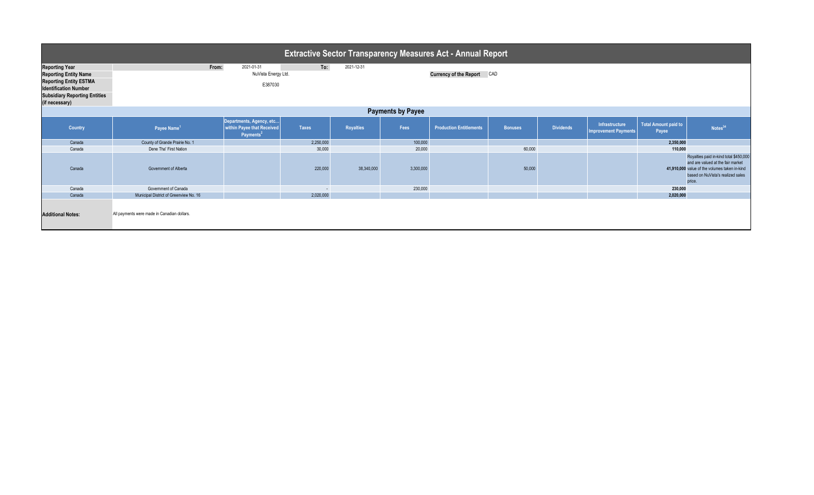| <b>Extractive Sector Transparency Measures Act - Annual Report</b>                     |                                                                 |                                                                                 |              |                  |           |                                |                |                  |                                               |                               |                                                                                                                                                                             |  |  |
|----------------------------------------------------------------------------------------|-----------------------------------------------------------------|---------------------------------------------------------------------------------|--------------|------------------|-----------|--------------------------------|----------------|------------------|-----------------------------------------------|-------------------------------|-----------------------------------------------------------------------------------------------------------------------------------------------------------------------------|--|--|
| <b>Reporting Year</b><br><b>Reporting Entity Name</b><br><b>Reporting Entity ESTMA</b> | To:<br>From:<br>2021-01-31<br>2021-12-31<br>NuVista Energy Ltd. |                                                                                 |              |                  |           | Currency of the Report CAD     |                |                  |                                               |                               |                                                                                                                                                                             |  |  |
| <b>Identification Number</b><br><b>Subsidiary Reporting Entities</b><br>(if necessary) |                                                                 | E387030                                                                         |              |                  |           |                                |                |                  |                                               |                               |                                                                                                                                                                             |  |  |
| <b>Payments by Payee</b>                                                               |                                                                 |                                                                                 |              |                  |           |                                |                |                  |                                               |                               |                                                                                                                                                                             |  |  |
| Country                                                                                | Payee Name <sup>1</sup>                                         | Departments, Agency, etc<br>within Payee that Received<br>Payments <sup>2</sup> | <b>Taxes</b> | <b>Royalties</b> | Fees      | <b>Production Entitlements</b> | <b>Bonuses</b> | <b>Dividends</b> | Infrastructure<br><b>Improvement Payments</b> | Total Amount paid to<br>Payee | Notes <sup>34</sup>                                                                                                                                                         |  |  |
| Canada                                                                                 | County of Grande Prairie No. 1                                  |                                                                                 | 2,250,000    |                  | 100,000   |                                |                |                  |                                               | 2,350,000                     |                                                                                                                                                                             |  |  |
| Canada                                                                                 | Dene Tha' First Nation                                          |                                                                                 | 30,000       |                  | 20,000    |                                | 60,000         |                  |                                               | 110,000                       |                                                                                                                                                                             |  |  |
| Canada                                                                                 | Government of Alberta                                           |                                                                                 | 220,000      | 38,340,000       | 3,300,000 |                                | 50,000         |                  |                                               |                               | Royalties paid in-kind total \$450,000<br>and are valued at the fair market<br>41,910,000 value of the volumes taken in-kind<br>based on NuVista's realized sales<br>price. |  |  |
| Canada                                                                                 | Government of Canada                                            |                                                                                 | $\sim$       |                  | 230,000   |                                |                |                  |                                               | 230,000                       |                                                                                                                                                                             |  |  |
| Canada                                                                                 | Municipal District of Greenview No. 16                          |                                                                                 | 2,020,000    |                  |           |                                |                |                  |                                               | 2,020,000                     |                                                                                                                                                                             |  |  |
| <b>Additional Notes:</b>                                                               | All payments were made in Canadian dollars.                     |                                                                                 |              |                  |           |                                |                |                  |                                               |                               |                                                                                                                                                                             |  |  |